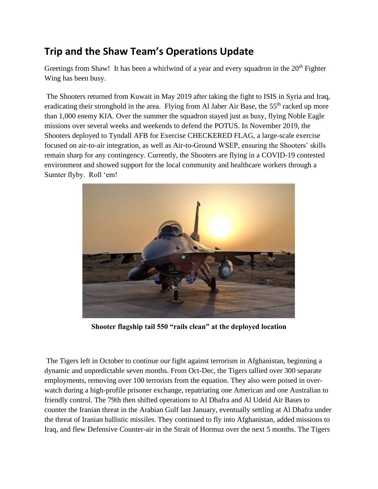## **Trip and the Shaw Team's Operations Update**

Greetings from Shaw! It has been a whirlwind of a year and every squadron in the  $20<sup>th</sup>$  Fighter Wing has been busy.

The Shooters returned from Kuwait in May 2019 after taking the fight to ISIS in Syria and Iraq, eradicating their stronghold in the area. Flying from Al Jaber Air Base, the 55<sup>th</sup> racked up more than 1,000 enemy KIA. Over the summer the squadron stayed just as busy, flying Noble Eagle missions over several weeks and weekends to defend the POTUS. In November 2019, the Shooters deployed to Tyndall AFB for Exercise CHECKERED FLAG, a large-scale exercise focused on air-to-air integration, as well as Air-to-Ground WSEP, ensuring the Shooters' skills remain sharp for any contingency. Currently, the Shooters are flying in a COVID-19 contested environment and showed support for the local community and healthcare workers through a Sumter flyby. Roll 'em!



**Shooter flagship tail 550 "rails clean" at the deployed location**

The Tigers left in October to continue our fight against terrorism in Afghanistan, beginning a dynamic and unpredictable seven months. From Oct-Dec, the Tigers tallied over 300 separate employments, removing over 100 terrorists from the equation. They also were poised in overwatch during a high-profile prisoner exchange, repatriating one American and one Australian to friendly control. The 79th then shifted operations to Al Dhafra and Al Udeid Air Bases to counter the Iranian threat in the Arabian Gulf last January, eventually settling at Al Dhafra under the threat of Iranian ballistic missiles. They continued to fly into Afghanistan, added missions to Iraq, and flew Defensive Counter-air in the Strait of Hormuz over the next 5 months. The Tigers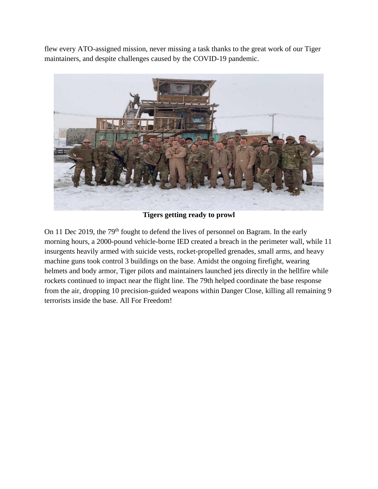flew every ATO-assigned mission, never missing a task thanks to the great work of our Tiger maintainers, and despite challenges caused by the COVID-19 pandemic.



**Tigers getting ready to prowl**

On 11 Dec 2019, the 79<sup>th</sup> fought to defend the lives of personnel on Bagram. In the early morning hours, a 2000-pound vehicle-borne IED created a breach in the perimeter wall, while 11 insurgents heavily armed with suicide vests, rocket-propelled grenades, small arms, and heavy machine guns took control 3 buildings on the base. Amidst the ongoing firefight, wearing helmets and body armor, Tiger pilots and maintainers launched jets directly in the hellfire while rockets continued to impact near the flight line. The 79th helped coordinate the base response from the air, dropping 10 precision-guided weapons within Danger Close, killing all remaining 9 terrorists inside the base. All For Freedom!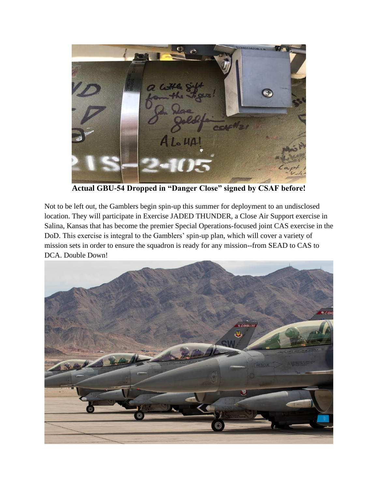

**Actual GBU-54 Dropped in "Danger Close" signed by CSAF before!**

Not to be left out, the Gamblers begin spin-up this summer for deployment to an undisclosed location. They will participate in Exercise JADED THUNDER, a Close Air Support exercise in Salina, Kansas that has become the premier Special Operations-focused joint CAS exercise in the DoD. This exercise is integral to the Gamblers' spin-up plan, which will cover a variety of mission sets in order to ensure the squadron is ready for any mission--from SEAD to CAS to DCA. Double Down!